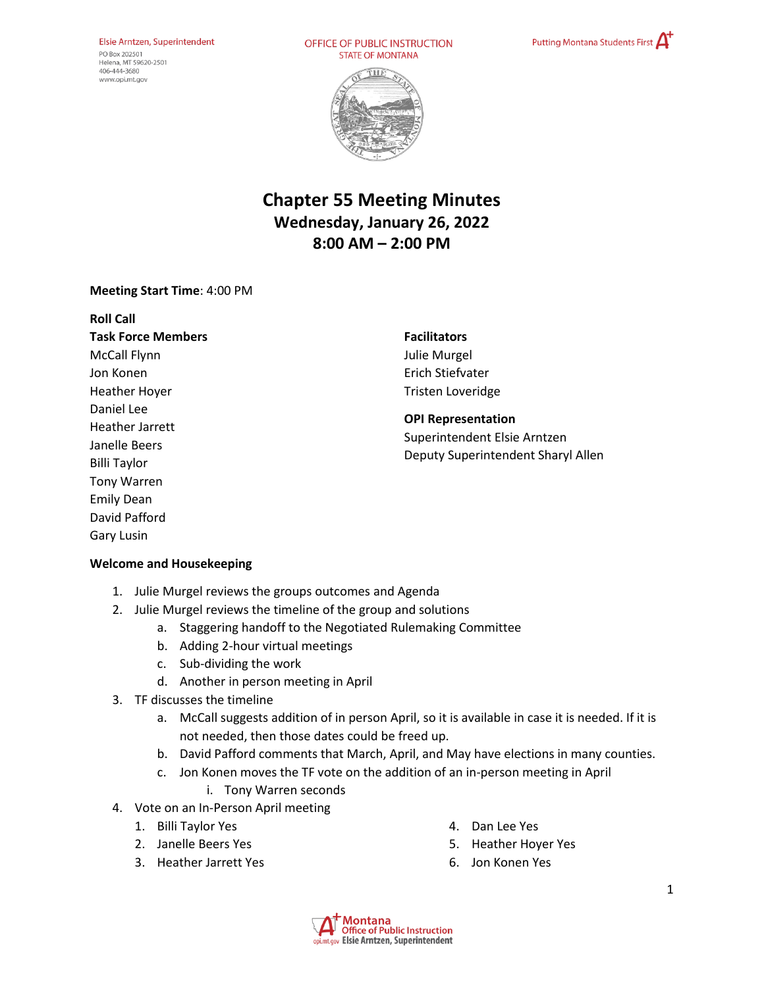#### Elsie Arntzen, Superintendent PO Box 202501 Helena, MT 59620-2501 406-444-3680

www.opi.mt.gov

OFFICE OF PUBLIC INSTRUCTION **STATE OF MONTANA** 





# **Chapter 55 Meeting Minutes Wednesday, January 26, 2022 8:00 AM – 2:00 PM**

### **Meeting Start Time**: 4:00 PM

**Roll Call Task Force Members** McCall Flynn Jon Konen Heather Hoyer Daniel Lee Heather Jarrett Janelle Beers Billi Taylor Tony Warren Emily Dean David Pafford Gary Lusin

# **Facilitators**  Julie Murgel Erich Stiefvater Tristen Loveridge

#### **OPI Representation**  Superintendent Elsie Arntzen

Deputy Superintendent Sharyl Allen

# **Welcome and Housekeeping**

- 1. Julie Murgel reviews the groups outcomes and Agenda
- 2. Julie Murgel reviews the timeline of the group and solutions
	- a. Staggering handoff to the Negotiated Rulemaking Committee
	- b. Adding 2-hour virtual meetings
	- c. Sub-dividing the work
	- d. Another in person meeting in April
- 3. TF discusses the timeline
	- a. McCall suggests addition of in person April, so it is available in case it is needed. If it is not needed, then those dates could be freed up.
	- b. David Pafford comments that March, April, and May have elections in many counties.
	- c. Jon Konen moves the TF vote on the addition of an in-person meeting in April
		- i. Tony Warren seconds
- 4. Vote on an In-Person April meeting
	- 1. Billi Taylor Yes
	- 2. Janelle Beers Yes
	- 3. Heather Jarrett Yes
- 4. Dan Lee Yes
- 5. Heather Hoyer Yes
- 6. Jon Konen Yes

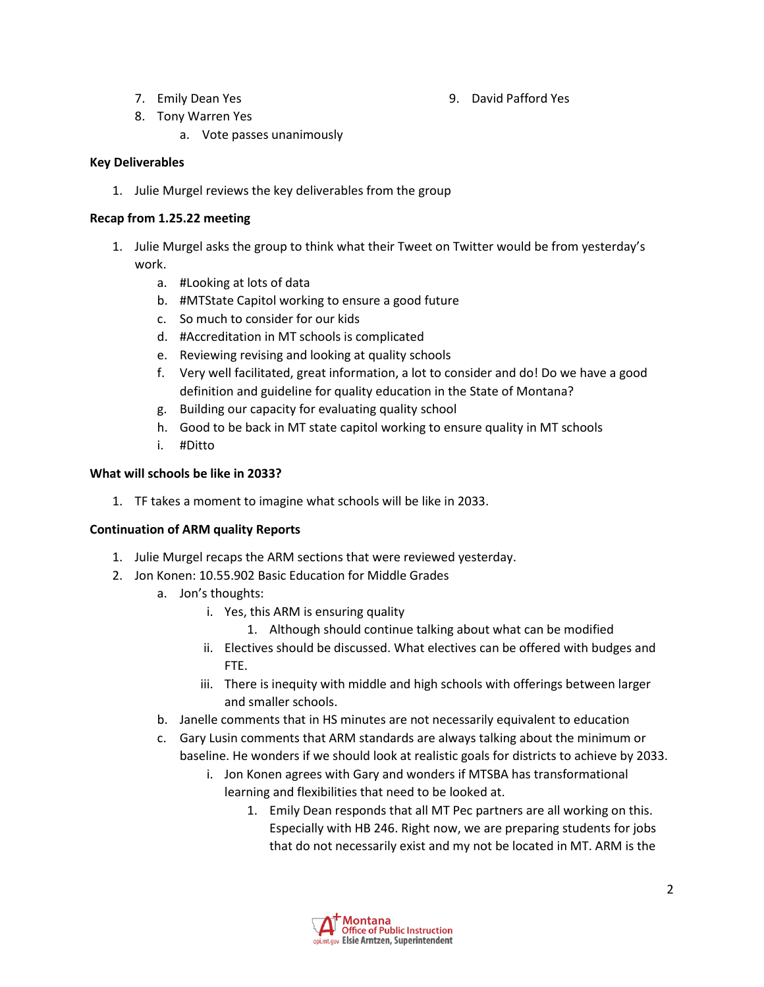7. Emily Dean Yes

9. David Pafford Yes

- 8. Tony Warren Yes
	- a. Vote passes unanimously

### **Key Deliverables**

1. Julie Murgel reviews the key deliverables from the group

### **Recap from 1.25.22 meeting**

- 1. Julie Murgel asks the group to think what their Tweet on Twitter would be from yesterday's work.
	- a. #Looking at lots of data
	- b. #MTState Capitol working to ensure a good future
	- c. So much to consider for our kids
	- d. #Accreditation in MT schools is complicated
	- e. Reviewing revising and looking at quality schools
	- f. Very well facilitated, great information, a lot to consider and do! Do we have a good definition and guideline for quality education in the State of Montana?
	- g. Building our capacity for evaluating quality school
	- h. Good to be back in MT state capitol working to ensure quality in MT schools
	- i. #Ditto

### **What will schools be like in 2033?**

1. TF takes a moment to imagine what schools will be like in 2033.

#### **Continuation of ARM quality Reports**

- 1. Julie Murgel recaps the ARM sections that were reviewed yesterday.
- 2. Jon Konen: 10.55.902 Basic Education for Middle Grades
	- a. Jon's thoughts:
		- i. Yes, this ARM is ensuring quality
			- 1. Although should continue talking about what can be modified
		- ii. Electives should be discussed. What electives can be offered with budges and FTE.
		- iii. There is inequity with middle and high schools with offerings between larger and smaller schools.
	- b. Janelle comments that in HS minutes are not necessarily equivalent to education
	- c. Gary Lusin comments that ARM standards are always talking about the minimum or baseline. He wonders if we should look at realistic goals for districts to achieve by 2033.
		- i. Jon Konen agrees with Gary and wonders if MTSBA has transformational learning and flexibilities that need to be looked at.
			- 1. Emily Dean responds that all MT Pec partners are all working on this. Especially with HB 246. Right now, we are preparing students for jobs that do not necessarily exist and my not be located in MT. ARM is the

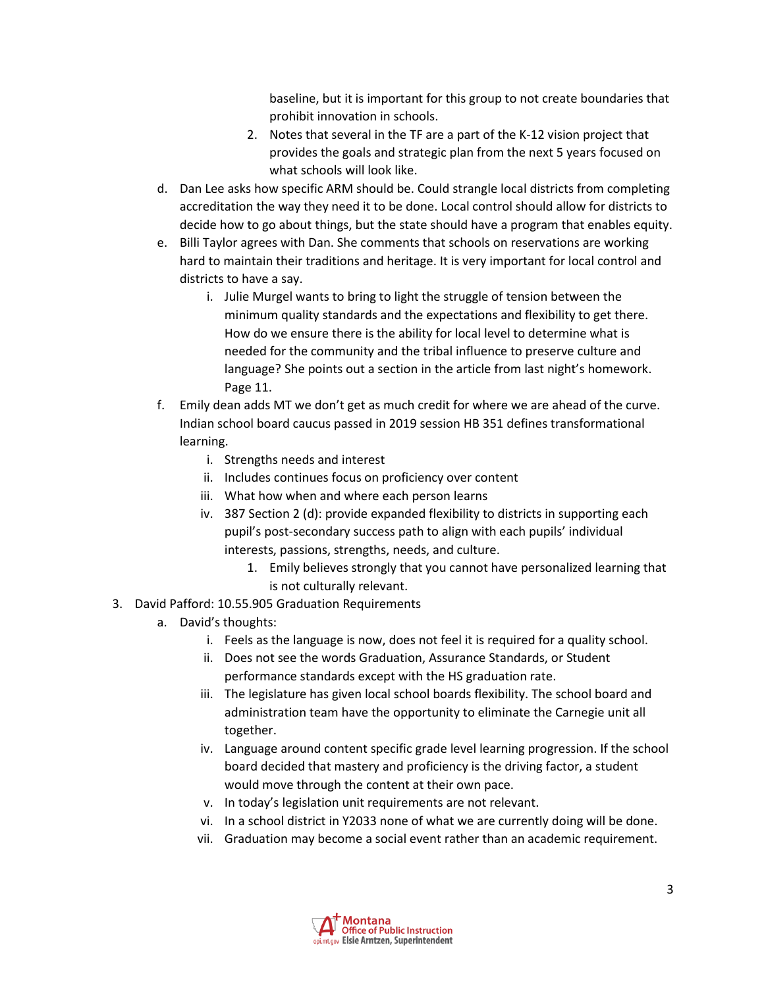baseline, but it is important for this group to not create boundaries that prohibit innovation in schools.

- 2. Notes that several in the TF are a part of the K-12 vision project that provides the goals and strategic plan from the next 5 years focused on what schools will look like.
- d. Dan Lee asks how specific ARM should be. Could strangle local districts from completing accreditation the way they need it to be done. Local control should allow for districts to decide how to go about things, but the state should have a program that enables equity.
- e. Billi Taylor agrees with Dan. She comments that schools on reservations are working hard to maintain their traditions and heritage. It is very important for local control and districts to have a say.
	- i. Julie Murgel wants to bring to light the struggle of tension between the minimum quality standards and the expectations and flexibility to get there. How do we ensure there is the ability for local level to determine what is needed for the community and the tribal influence to preserve culture and language? She points out a section in the article from last night's homework. Page 11.
- f. Emily dean adds MT we don't get as much credit for where we are ahead of the curve. Indian school board caucus passed in 2019 session HB 351 defines transformational learning.
	- i. Strengths needs and interest
	- ii. Includes continues focus on proficiency over content
	- iii. What how when and where each person learns
	- iv. 387 Section 2 (d): provide expanded flexibility to districts in supporting each pupil's post-secondary success path to align with each pupils' individual interests, passions, strengths, needs, and culture.
		- 1. Emily believes strongly that you cannot have personalized learning that is not culturally relevant.
- 3. David Pafford: 10.55.905 Graduation Requirements
	- a. David's thoughts:
		- i. Feels as the language is now, does not feel it is required for a quality school.
		- ii. Does not see the words Graduation, Assurance Standards, or Student performance standards except with the HS graduation rate.
		- iii. The legislature has given local school boards flexibility. The school board and administration team have the opportunity to eliminate the Carnegie unit all together.
		- iv. Language around content specific grade level learning progression. If the school board decided that mastery and proficiency is the driving factor, a student would move through the content at their own pace.
		- v. In today's legislation unit requirements are not relevant.
		- vi. In a school district in Y2033 none of what we are currently doing will be done.
		- vii. Graduation may become a social event rather than an academic requirement.

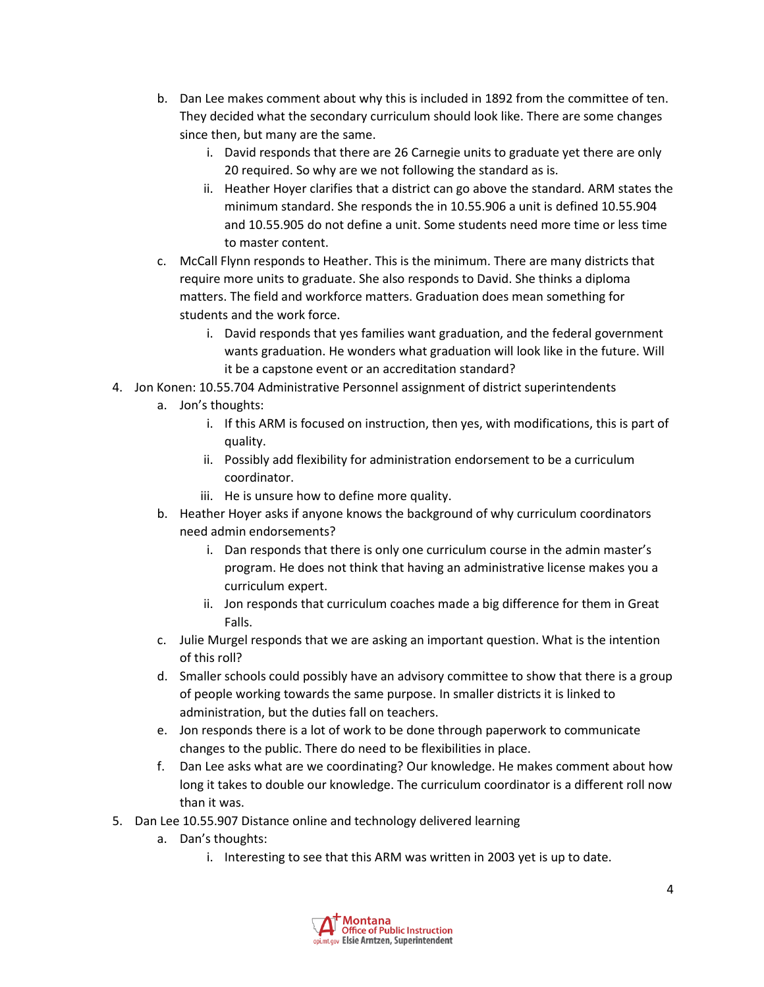- b. Dan Lee makes comment about why this is included in 1892 from the committee of ten. They decided what the secondary curriculum should look like. There are some changes since then, but many are the same.
	- i. David responds that there are 26 Carnegie units to graduate yet there are only 20 required. So why are we not following the standard as is.
	- ii. Heather Hoyer clarifies that a district can go above the standard. ARM states the minimum standard. She responds the in 10.55.906 a unit is defined 10.55.904 and 10.55.905 do not define a unit. Some students need more time or less time to master content.
- c. McCall Flynn responds to Heather. This is the minimum. There are many districts that require more units to graduate. She also responds to David. She thinks a diploma matters. The field and workforce matters. Graduation does mean something for students and the work force.
	- i. David responds that yes families want graduation, and the federal government wants graduation. He wonders what graduation will look like in the future. Will it be a capstone event or an accreditation standard?
- 4. Jon Konen: 10.55.704 Administrative Personnel assignment of district superintendents
	- a. Jon's thoughts:
		- i. If this ARM is focused on instruction, then yes, with modifications, this is part of quality.
		- ii. Possibly add flexibility for administration endorsement to be a curriculum coordinator.
		- iii. He is unsure how to define more quality.
	- b. Heather Hoyer asks if anyone knows the background of why curriculum coordinators need admin endorsements?
		- i. Dan responds that there is only one curriculum course in the admin master's program. He does not think that having an administrative license makes you a curriculum expert.
		- ii. Jon responds that curriculum coaches made a big difference for them in Great Falls.
	- c. Julie Murgel responds that we are asking an important question. What is the intention of this roll?
	- d. Smaller schools could possibly have an advisory committee to show that there is a group of people working towards the same purpose. In smaller districts it is linked to administration, but the duties fall on teachers.
	- e. Jon responds there is a lot of work to be done through paperwork to communicate changes to the public. There do need to be flexibilities in place.
	- f. Dan Lee asks what are we coordinating? Our knowledge. He makes comment about how long it takes to double our knowledge. The curriculum coordinator is a different roll now than it was.
- 5. Dan Lee 10.55.907 Distance online and technology delivered learning
	- a. Dan's thoughts:
		- i. Interesting to see that this ARM was written in 2003 yet is up to date.

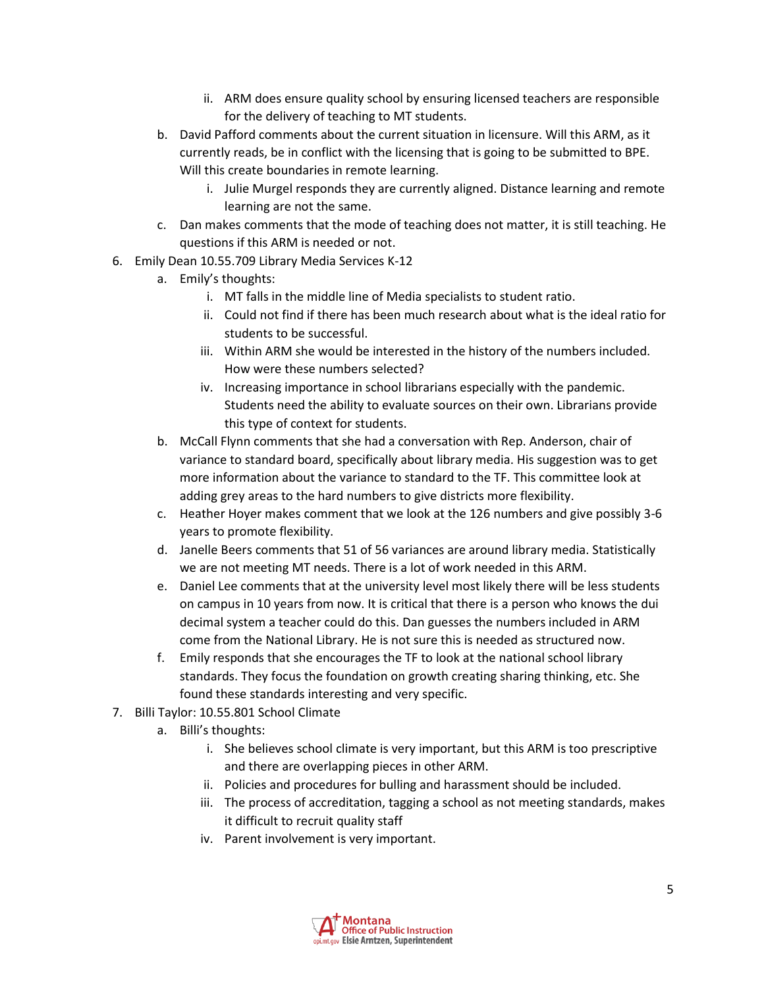- ii. ARM does ensure quality school by ensuring licensed teachers are responsible for the delivery of teaching to MT students.
- b. David Pafford comments about the current situation in licensure. Will this ARM, as it currently reads, be in conflict with the licensing that is going to be submitted to BPE. Will this create boundaries in remote learning.
	- i. Julie Murgel responds they are currently aligned. Distance learning and remote learning are not the same.
- c. Dan makes comments that the mode of teaching does not matter, it is still teaching. He questions if this ARM is needed or not.
- 6. Emily Dean 10.55.709 Library Media Services K-12
	- a. Emily's thoughts:
		- i. MT falls in the middle line of Media specialists to student ratio.
		- ii. Could not find if there has been much research about what is the ideal ratio for students to be successful.
		- iii. Within ARM she would be interested in the history of the numbers included. How were these numbers selected?
		- iv. Increasing importance in school librarians especially with the pandemic. Students need the ability to evaluate sources on their own. Librarians provide this type of context for students.
	- b. McCall Flynn comments that she had a conversation with Rep. Anderson, chair of variance to standard board, specifically about library media. His suggestion was to get more information about the variance to standard to the TF. This committee look at adding grey areas to the hard numbers to give districts more flexibility.
	- c. Heather Hoyer makes comment that we look at the 126 numbers and give possibly 3-6 years to promote flexibility.
	- d. Janelle Beers comments that 51 of 56 variances are around library media. Statistically we are not meeting MT needs. There is a lot of work needed in this ARM.
	- e. Daniel Lee comments that at the university level most likely there will be less students on campus in 10 years from now. It is critical that there is a person who knows the dui decimal system a teacher could do this. Dan guesses the numbers included in ARM come from the National Library. He is not sure this is needed as structured now.
	- f. Emily responds that she encourages the TF to look at the national school library standards. They focus the foundation on growth creating sharing thinking, etc. She found these standards interesting and very specific.
- 7. Billi Taylor: 10.55.801 School Climate
	- a. Billi's thoughts:
		- i. She believes school climate is very important, but this ARM is too prescriptive and there are overlapping pieces in other ARM.
		- ii. Policies and procedures for bulling and harassment should be included.
		- iii. The process of accreditation, tagging a school as not meeting standards, makes it difficult to recruit quality staff
		- iv. Parent involvement is very important.

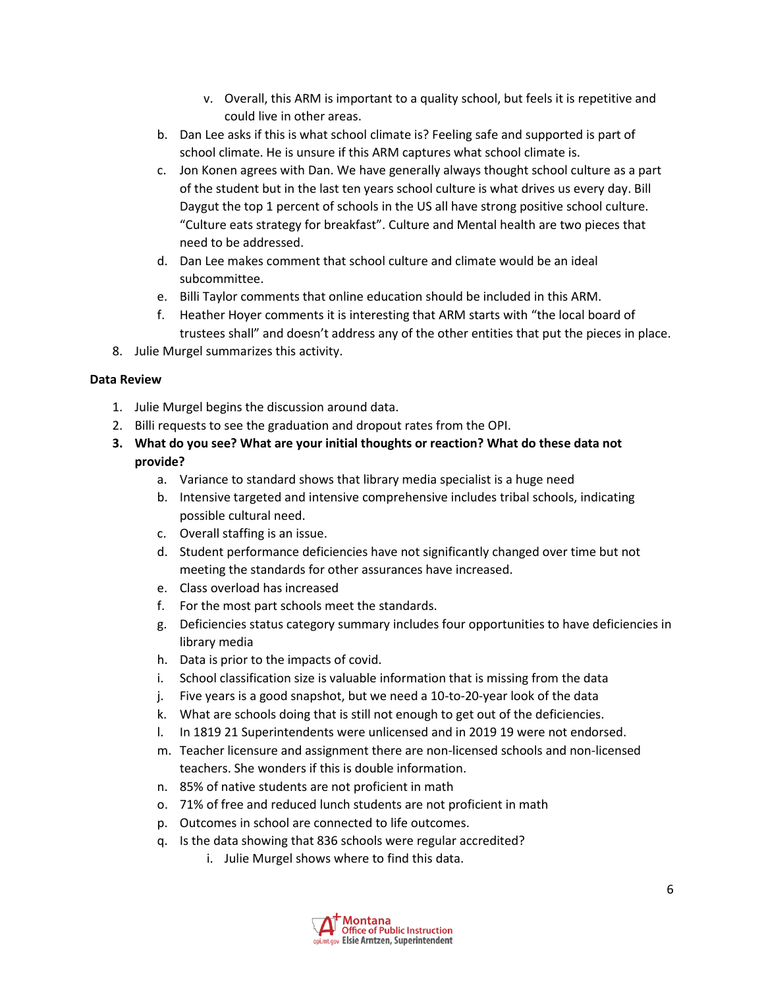- v. Overall, this ARM is important to a quality school, but feels it is repetitive and could live in other areas.
- b. Dan Lee asks if this is what school climate is? Feeling safe and supported is part of school climate. He is unsure if this ARM captures what school climate is.
- c. Jon Konen agrees with Dan. We have generally always thought school culture as a part of the student but in the last ten years school culture is what drives us every day. Bill Daygut the top 1 percent of schools in the US all have strong positive school culture. "Culture eats strategy for breakfast". Culture and Mental health are two pieces that need to be addressed.
- d. Dan Lee makes comment that school culture and climate would be an ideal subcommittee.
- e. Billi Taylor comments that online education should be included in this ARM.
- f. Heather Hoyer comments it is interesting that ARM starts with "the local board of trustees shall" and doesn't address any of the other entities that put the pieces in place.
- 8. Julie Murgel summarizes this activity.

# **Data Review**

- 1. Julie Murgel begins the discussion around data.
- 2. Billi requests to see the graduation and dropout rates from the OPI.
- **3. What do you see? What are your initial thoughts or reaction? What do these data not provide?** 
	- a. Variance to standard shows that library media specialist is a huge need
	- b. Intensive targeted and intensive comprehensive includes tribal schools, indicating possible cultural need.
	- c. Overall staffing is an issue.
	- d. Student performance deficiencies have not significantly changed over time but not meeting the standards for other assurances have increased.
	- e. Class overload has increased
	- f. For the most part schools meet the standards.
	- g. Deficiencies status category summary includes four opportunities to have deficiencies in library media
	- h. Data is prior to the impacts of covid.
	- i. School classification size is valuable information that is missing from the data
	- j. Five years is a good snapshot, but we need a 10-to-20-year look of the data
	- k. What are schools doing that is still not enough to get out of the deficiencies.
	- l. In 1819 21 Superintendents were unlicensed and in 2019 19 were not endorsed.
	- m. Teacher licensure and assignment there are non-licensed schools and non-licensed teachers. She wonders if this is double information.
	- n. 85% of native students are not proficient in math
	- o. 71% of free and reduced lunch students are not proficient in math
	- p. Outcomes in school are connected to life outcomes.
	- q. Is the data showing that 836 schools were regular accredited?
		- i. Julie Murgel shows where to find this data.

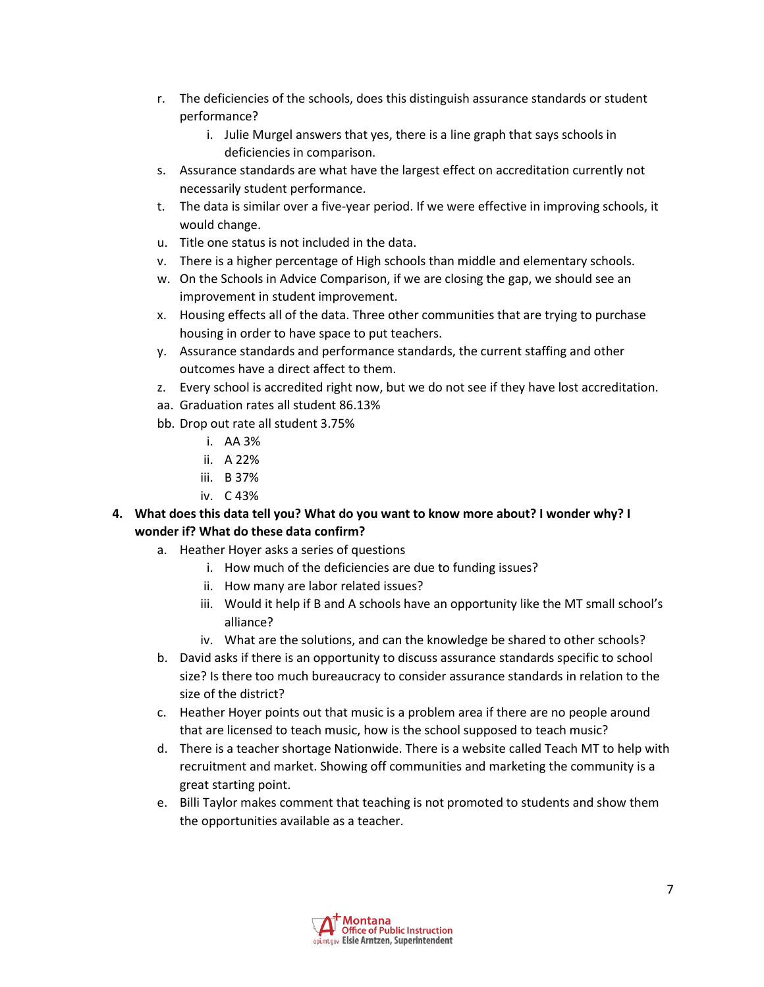- r. The deficiencies of the schools, does this distinguish assurance standards or student performance?
	- i. Julie Murgel answers that yes, there is a line graph that says schools in deficiencies in comparison.
- s. Assurance standards are what have the largest effect on accreditation currently not necessarily student performance.
- t. The data is similar over a five-year period. If we were effective in improving schools, it would change.
- u. Title one status is not included in the data.
- v. There is a higher percentage of High schools than middle and elementary schools.
- w. On the Schools in Advice Comparison, if we are closing the gap, we should see an improvement in student improvement.
- x. Housing effects all of the data. Three other communities that are trying to purchase housing in order to have space to put teachers.
- y. Assurance standards and performance standards, the current staffing and other outcomes have a direct affect to them.
- z. Every school is accredited right now, but we do not see if they have lost accreditation.
- aa. Graduation rates all student 86.13%
- bb. Drop out rate all student 3.75%
	- i. AA 3%
	- ii. A 22%
	- iii. B 37%
	- iv. C 43%
- **4. What does this data tell you? What do you want to know more about? I wonder why? I wonder if? What do these data confirm?** 
	- a. Heather Hoyer asks a series of questions
		- i. How much of the deficiencies are due to funding issues?
		- ii. How many are labor related issues?
		- iii. Would it help if B and A schools have an opportunity like the MT small school's alliance?
		- iv. What are the solutions, and can the knowledge be shared to other schools?
	- b. David asks if there is an opportunity to discuss assurance standards specific to school size? Is there too much bureaucracy to consider assurance standards in relation to the size of the district?
	- c. Heather Hoyer points out that music is a problem area if there are no people around that are licensed to teach music, how is the school supposed to teach music?
	- d. There is a teacher shortage Nationwide. There is a website called Teach MT to help with recruitment and market. Showing off communities and marketing the community is a great starting point.
	- e. Billi Taylor makes comment that teaching is not promoted to students and show them the opportunities available as a teacher.

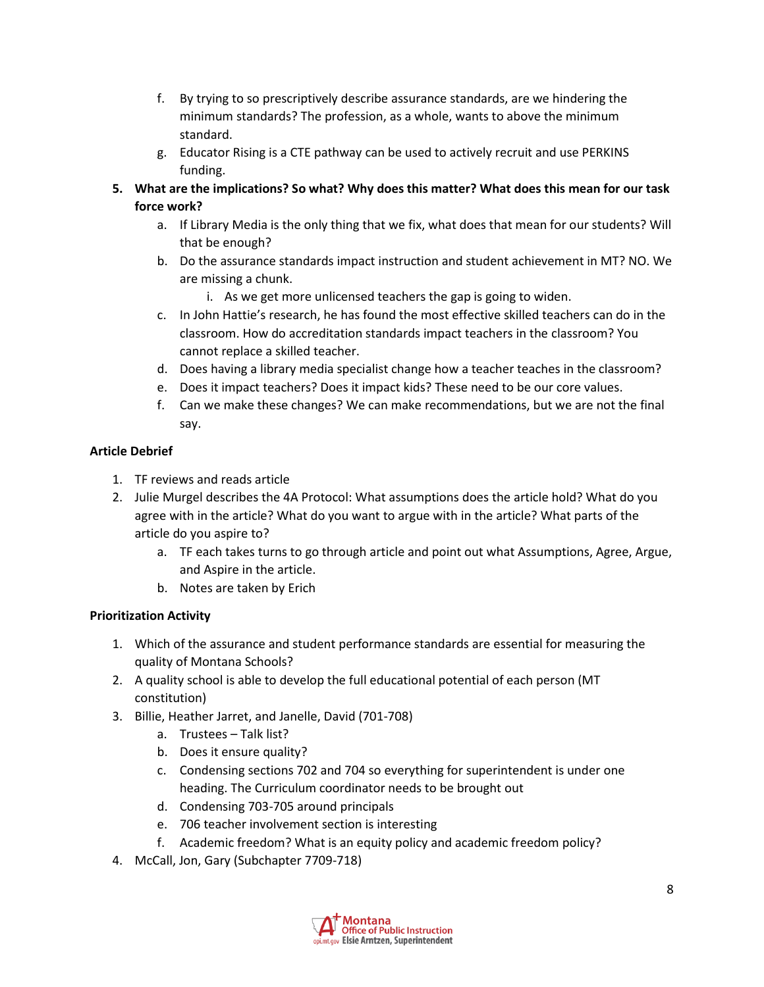- f. By trying to so prescriptively describe assurance standards, are we hindering the minimum standards? The profession, as a whole, wants to above the minimum standard.
- g. Educator Rising is a CTE pathway can be used to actively recruit and use PERKINS funding.
- **5. What are the implications? So what? Why does this matter? What does this mean for our task force work?** 
	- a. If Library Media is the only thing that we fix, what does that mean for our students? Will that be enough?
	- b. Do the assurance standards impact instruction and student achievement in MT? NO. We are missing a chunk.
		- i. As we get more unlicensed teachers the gap is going to widen.
	- c. In John Hattie's research, he has found the most effective skilled teachers can do in the classroom. How do accreditation standards impact teachers in the classroom? You cannot replace a skilled teacher.
	- d. Does having a library media specialist change how a teacher teaches in the classroom?
	- e. Does it impact teachers? Does it impact kids? These need to be our core values.
	- f. Can we make these changes? We can make recommendations, but we are not the final say.

# **Article Debrief**

- 1. TF reviews and reads article
- 2. Julie Murgel describes the 4A Protocol: What assumptions does the article hold? What do you agree with in the article? What do you want to argue with in the article? What parts of the article do you aspire to?
	- a. TF each takes turns to go through article and point out what Assumptions, Agree, Argue, and Aspire in the article.
	- b. Notes are taken by Erich

# **Prioritization Activity**

- 1. Which of the assurance and student performance standards are essential for measuring the quality of Montana Schools?
- 2. A quality school is able to develop the full educational potential of each person (MT constitution)
- 3. Billie, Heather Jarret, and Janelle, David (701-708)
	- a. Trustees Talk list?
	- b. Does it ensure quality?
	- c. Condensing sections 702 and 704 so everything for superintendent is under one heading. The Curriculum coordinator needs to be brought out
	- d. Condensing 703-705 around principals
	- e. 706 teacher involvement section is interesting
	- f. Academic freedom? What is an equity policy and academic freedom policy?
- 4. McCall, Jon, Gary (Subchapter 7709-718)